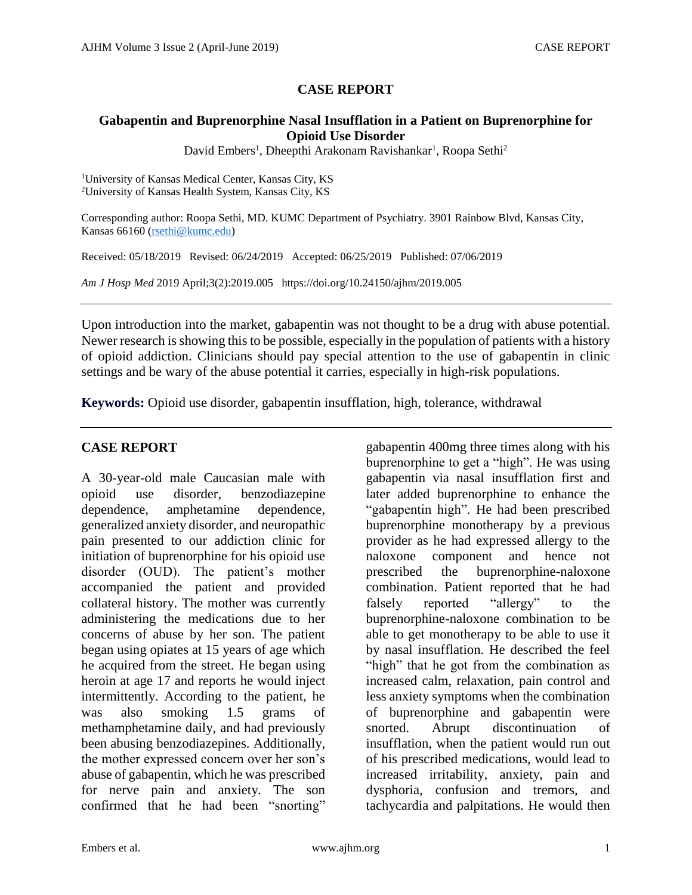## **CASE REPORT**

### **Gabapentin and Buprenorphine Nasal Insufflation in a Patient on Buprenorphine for Opioid Use Disorder**

David Embers<sup>1</sup>, Dheepthi Arakonam Ravishankar<sup>1</sup>, Roopa Sethi<sup>2</sup>

<sup>1</sup>University of Kansas Medical Center, Kansas City, KS <sup>2</sup>University of Kansas Health System, Kansas City, KS

Corresponding author: Roopa Sethi, MD. KUMC Department of Psychiatry. 3901 Rainbow Blvd, Kansas City, Kansas 66160 [\(rsethi@kumc.edu\)](mailto:rsethi@kumc.edu)

Received: 05/18/2019 Revised: 06/24/2019 Accepted: 06/25/2019 Published: 07/06/2019

*Am J Hosp Med* 2019 April;3(2):2019.005 https://doi.org/10.24150/ajhm/2019.005

Upon introduction into the market, gabapentin was not thought to be a drug with abuse potential. Newer research is showing this to be possible, especially in the population of patients with a history of opioid addiction. Clinicians should pay special attention to the use of gabapentin in clinic settings and be wary of the abuse potential it carries, especially in high-risk populations.

**Keywords:** Opioid use disorder, gabapentin insufflation, high, tolerance, withdrawal

## **CASE REPORT**

A 30-year-old male Caucasian male with opioid use disorder, benzodiazepine dependence, amphetamine dependence, generalized anxiety disorder, and neuropathic pain presented to our addiction clinic for initiation of buprenorphine for his opioid use disorder (OUD). The patient's mother accompanied the patient and provided collateral history. The mother was currently administering the medications due to her concerns of abuse by her son. The patient began using opiates at 15 years of age which he acquired from the street. He began using heroin at age 17 and reports he would inject intermittently. According to the patient, he was also smoking 1.5 grams of methamphetamine daily, and had previously been abusing benzodiazepines. Additionally, the mother expressed concern over her son's abuse of gabapentin, which he was prescribed for nerve pain and anxiety. The son confirmed that he had been "snorting"

gabapentin 400mg three times along with his buprenorphine to get a "high". He was using gabapentin via nasal insufflation first and later added buprenorphine to enhance the "gabapentin high". He had been prescribed buprenorphine monotherapy by a previous provider as he had expressed allergy to the naloxone component and hence not prescribed the buprenorphine-naloxone combination. Patient reported that he had falsely reported "allergy" to the buprenorphine-naloxone combination to be able to get monotherapy to be able to use it by nasal insufflation. He described the feel "high" that he got from the combination as increased calm, relaxation, pain control and less anxiety symptoms when the combination of buprenorphine and gabapentin were snorted. Abrupt discontinuation of insufflation, when the patient would run out of his prescribed medications, would lead to increased irritability, anxiety, pain and dysphoria, confusion and tremors, and tachycardia and palpitations. He would then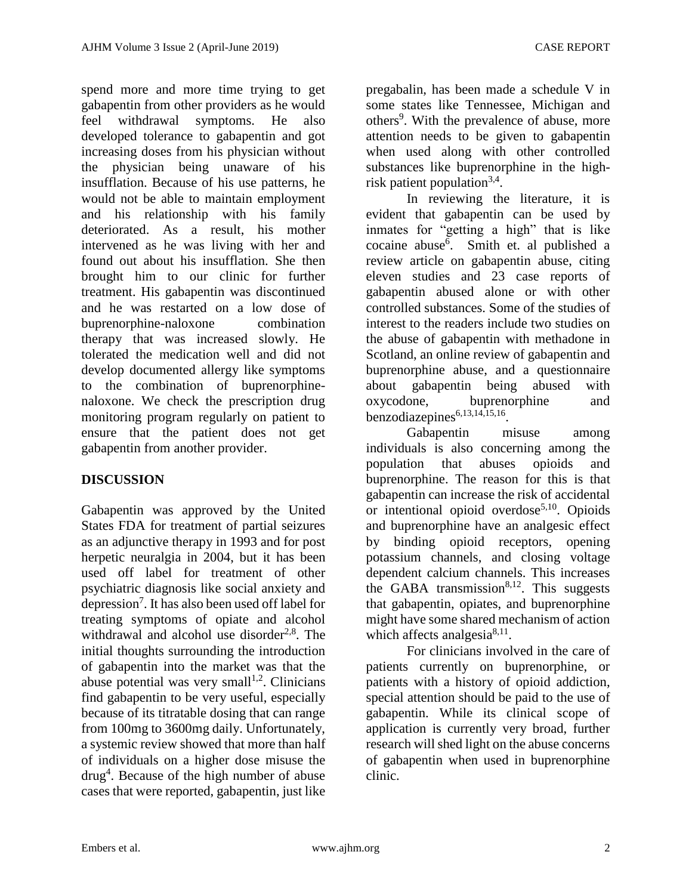spend more and more time trying to get gabapentin from other providers as he would feel withdrawal symptoms. He also developed tolerance to gabapentin and got increasing doses from his physician without the physician being unaware of his insufflation. Because of his use patterns, he would not be able to maintain employment and his relationship with his family deteriorated. As a result, his mother intervened as he was living with her and found out about his insufflation. She then brought him to our clinic for further treatment. His gabapentin was discontinued and he was restarted on a low dose of buprenorphine-naloxone combination therapy that was increased slowly. He tolerated the medication well and did not develop documented allergy like symptoms to the combination of buprenorphinenaloxone. We check the prescription drug monitoring program regularly on patient to ensure that the patient does not get gabapentin from another provider.

# **DISCUSSION**

Gabapentin was approved by the United States FDA for treatment of partial seizures as an adjunctive therapy in 1993 and for post herpetic neuralgia in 2004, but it has been used off label for treatment of other psychiatric diagnosis like social anxiety and depression<sup>7</sup> . It has also been used off label for treating symptoms of opiate and alcohol withdrawal and alcohol use disorder $2.8$ . The initial thoughts surrounding the introduction of gabapentin into the market was that the abuse potential was very small $^{1,2}$ . Clinicians find gabapentin to be very useful, especially because of its titratable dosing that can range from 100mg to 3600mg daily. Unfortunately, a systemic review showed that more than half of individuals on a higher dose misuse the drug<sup>4</sup>. Because of the high number of abuse cases that were reported, gabapentin, just like

pregabalin, has been made a schedule V in some states like Tennessee, Michigan and others<sup>9</sup>. With the prevalence of abuse, more attention needs to be given to gabapentin when used along with other controlled substances like buprenorphine in the highrisk patient population<sup>3,4</sup>.

In reviewing the literature, it is evident that gabapentin can be used by inmates for "getting a high" that is like cocaine abuse<sup>6</sup>. Smith et. al published a review article on gabapentin abuse, citing eleven studies and 23 case reports of gabapentin abused alone or with other controlled substances. Some of the studies of interest to the readers include two studies on the abuse of gabapentin with methadone in Scotland, an online review of gabapentin and buprenorphine abuse, and a questionnaire about gabapentin being abused with oxycodone, buprenorphine and benzodiazepines<sup>6,13,14,15,16</sup>.

Gabapentin misuse among individuals is also concerning among the population that abuses opioids and buprenorphine. The reason for this is that gabapentin can increase the risk of accidental or intentional opioid overdose<sup>5,10</sup>. Opioids and buprenorphine have an analgesic effect by binding opioid receptors, opening potassium channels, and closing voltage dependent calcium channels. This increases the GABA transmission $8,12$ . This suggests that gabapentin, opiates, and buprenorphine might have some shared mechanism of action which affects analgesia $8,11$ .

For clinicians involved in the care of patients currently on buprenorphine, or patients with a history of opioid addiction, special attention should be paid to the use of gabapentin. While its clinical scope of application is currently very broad, further research will shed light on the abuse concerns of gabapentin when used in buprenorphine clinic.